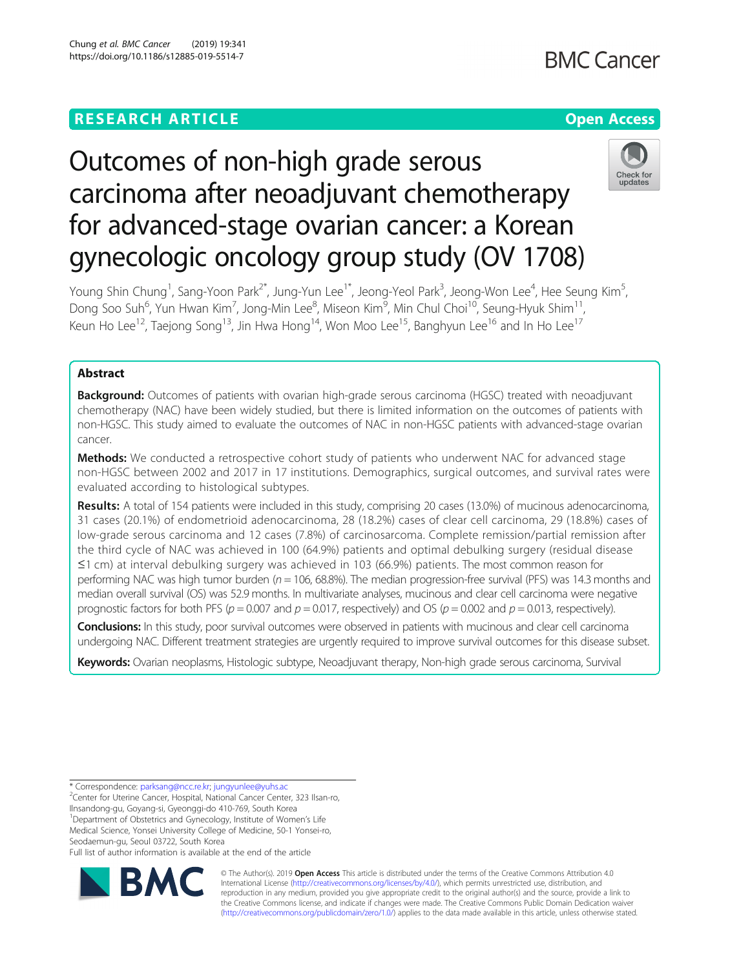## **RESEARCH ARTICLE Example 2018 12:30 THE Open Access**

**BMC Cancer** 

# Outcomes of non-high grade serous carcinoma after neoadjuvant chemotherapy for advanced-stage ovarian cancer: a Korean gynecologic oncology group study (OV 1708)



Young Shin Chung<sup>1</sup>, Sang-Yoon Park<sup>2\*</sup>, Jung-Yun Lee<sup>1\*</sup>, Jeong-Yeol Park<sup>3</sup>, Jeong-Won Lee<sup>4</sup>, Hee Seung Kim<sup>5</sup> , Dong Soo Suh<sup>6</sup>, Yun Hwan Kim<sup>7</sup>, Jong-Min Lee<sup>8</sup>, Miseon Kim<sup>9</sup>, Min Chul Choi<sup>10</sup>, Seung-Hyuk Shim<sup>11</sup>, Keun Ho Lee<sup>12</sup>, Taejong Song<sup>13</sup>, Jin Hwa Hong<sup>14</sup>, Won Moo Lee<sup>15</sup>, Banghyun Lee<sup>16</sup> and In Ho Lee<sup>17</sup>

### Abstract

**Background:** Outcomes of patients with ovarian high-grade serous carcinoma (HGSC) treated with neoadjuvant chemotherapy (NAC) have been widely studied, but there is limited information on the outcomes of patients with non-HGSC. This study aimed to evaluate the outcomes of NAC in non-HGSC patients with advanced-stage ovarian cancer.

**Methods:** We conducted a retrospective cohort study of patients who underwent NAC for advanced stage non-HGSC between 2002 and 2017 in 17 institutions. Demographics, surgical outcomes, and survival rates were evaluated according to histological subtypes.

Results: A total of 154 patients were included in this study, comprising 20 cases (13.0%) of mucinous adenocarcinoma, 31 cases (20.1%) of endometrioid adenocarcinoma, 28 (18.2%) cases of clear cell carcinoma, 29 (18.8%) cases of low-grade serous carcinoma and 12 cases (7.8%) of carcinosarcoma. Complete remission/partial remission after the third cycle of NAC was achieved in 100 (64.9%) patients and optimal debulking surgery (residual disease ≤1 cm) at interval debulking surgery was achieved in 103 (66.9%) patients. The most common reason for performing NAC was high tumor burden ( $n = 106$ , 68.8%). The median progression-free survival (PFS) was 14.3 months and median overall survival (OS) was 52.9 months. In multivariate analyses, mucinous and clear cell carcinoma were negative prognostic factors for both PFS ( $p = 0.007$  and  $p = 0.017$ , respectively) and OS ( $p = 0.002$  and  $p = 0.013$ , respectively).

Conclusions: In this study, poor survival outcomes were observed in patients with mucinous and clear cell carcinoma undergoing NAC. Different treatment strategies are urgently required to improve survival outcomes for this disease subset.

Keywords: Ovarian neoplasms, Histologic subtype, Neoadjuvant therapy, Non-high grade serous carcinoma, Survival

\* Correspondence: [parksang@ncc.re.kr;](mailto:parksang@ncc.re.kr) [jungyunlee@yuhs.ac](mailto:jungyunlee@yuhs.ac) <sup>2</sup>

<sup>2</sup>Center for Uterine Cancer, Hospital, National Cancer Center, 323 Ilsan-ro,

Ilnsandong-gu, Goyang-si, Gyeonggi-do 410-769, South Korea <sup>1</sup>Department of Obstetrics and Gynecology, Institute of Women's Life

Medical Science, Yonsei University College of Medicine, 50-1 Yonsei-ro, Seodaemun-gu, Seoul 03722, South Korea

Full list of author information is available at the end of the article



© The Author(s). 2019 **Open Access** This article is distributed under the terms of the Creative Commons Attribution 4.0 International License [\(http://creativecommons.org/licenses/by/4.0/](http://creativecommons.org/licenses/by/4.0/)), which permits unrestricted use, distribution, and reproduction in any medium, provided you give appropriate credit to the original author(s) and the source, provide a link to the Creative Commons license, and indicate if changes were made. The Creative Commons Public Domain Dedication waiver [\(http://creativecommons.org/publicdomain/zero/1.0/](http://creativecommons.org/publicdomain/zero/1.0/)) applies to the data made available in this article, unless otherwise stated.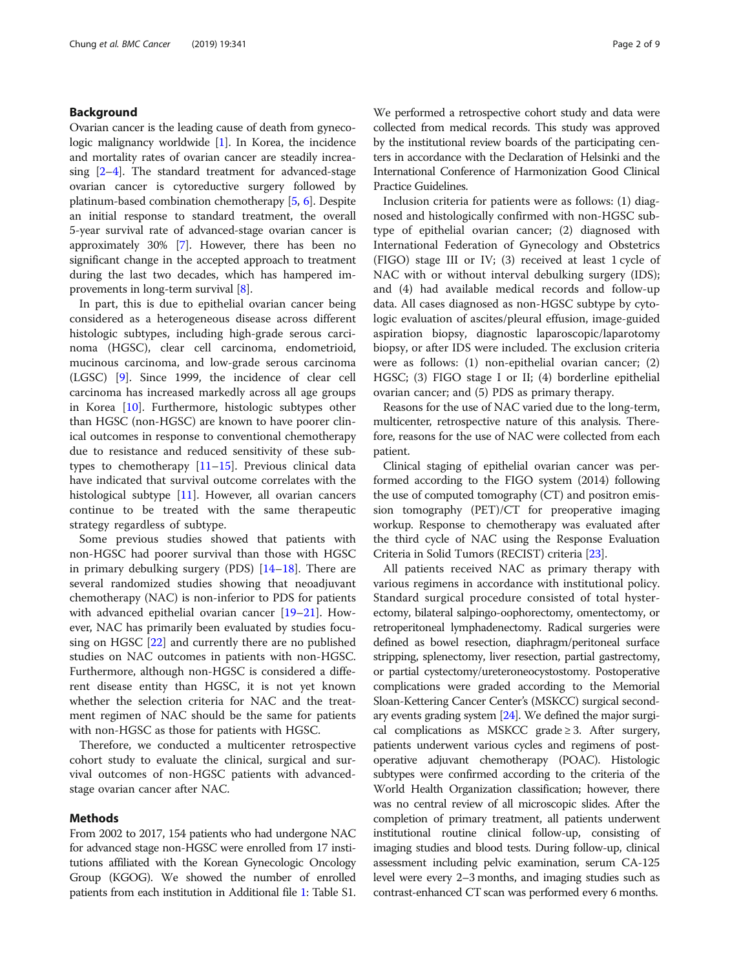#### Background

Ovarian cancer is the leading cause of death from gynecologic malignancy worldwide [[1](#page-8-0)]. In Korea, the incidence and mortality rates of ovarian cancer are steadily increasing [\[2](#page-8-0)–[4\]](#page-8-0). The standard treatment for advanced-stage ovarian cancer is cytoreductive surgery followed by platinum-based combination chemotherapy [[5,](#page-8-0) [6](#page-8-0)]. Despite an initial response to standard treatment, the overall 5-year survival rate of advanced-stage ovarian cancer is approximately 30% [\[7](#page-8-0)]. However, there has been no significant change in the accepted approach to treatment during the last two decades, which has hampered improvements in long-term survival [\[8\]](#page-8-0).

In part, this is due to epithelial ovarian cancer being considered as a heterogeneous disease across different histologic subtypes, including high-grade serous carcinoma (HGSC), clear cell carcinoma, endometrioid, mucinous carcinoma, and low-grade serous carcinoma (LGSC) [\[9](#page-8-0)]. Since 1999, the incidence of clear cell carcinoma has increased markedly across all age groups in Korea [[10\]](#page-8-0). Furthermore, histologic subtypes other than HGSC (non-HGSC) are known to have poorer clinical outcomes in response to conventional chemotherapy due to resistance and reduced sensitivity of these subtypes to chemotherapy  $[11–15]$  $[11–15]$  $[11–15]$  $[11–15]$  $[11–15]$ . Previous clinical data have indicated that survival outcome correlates with the histological subtype [\[11](#page-8-0)]. However, all ovarian cancers continue to be treated with the same therapeutic strategy regardless of subtype.

Some previous studies showed that patients with non-HGSC had poorer survival than those with HGSC in primary debulking surgery (PDS) [[14](#page-8-0)–[18](#page-8-0)]. There are several randomized studies showing that neoadjuvant chemotherapy (NAC) is non-inferior to PDS for patients with advanced epithelial ovarian cancer [\[19](#page-8-0)–[21\]](#page-8-0). However, NAC has primarily been evaluated by studies focusing on HGSC [[22\]](#page-8-0) and currently there are no published studies on NAC outcomes in patients with non-HGSC. Furthermore, although non-HGSC is considered a different disease entity than HGSC, it is not yet known whether the selection criteria for NAC and the treatment regimen of NAC should be the same for patients with non-HGSC as those for patients with HGSC.

Therefore, we conducted a multicenter retrospective cohort study to evaluate the clinical, surgical and survival outcomes of non-HGSC patients with advancedstage ovarian cancer after NAC.

#### Methods

From 2002 to 2017, 154 patients who had undergone NAC for advanced stage non-HGSC were enrolled from 17 institutions affiliated with the Korean Gynecologic Oncology Group (KGOG). We showed the number of enrolled patients from each institution in Additional file [1:](#page-7-0) Table S1.

We performed a retrospective cohort study and data were collected from medical records. This study was approved by the institutional review boards of the participating centers in accordance with the Declaration of Helsinki and the International Conference of Harmonization Good Clinical Practice Guidelines.

Inclusion criteria for patients were as follows: (1) diagnosed and histologically confirmed with non-HGSC subtype of epithelial ovarian cancer; (2) diagnosed with International Federation of Gynecology and Obstetrics (FIGO) stage III or IV; (3) received at least 1 cycle of NAC with or without interval debulking surgery (IDS); and (4) had available medical records and follow-up data. All cases diagnosed as non-HGSC subtype by cytologic evaluation of ascites/pleural effusion, image-guided aspiration biopsy, diagnostic laparoscopic/laparotomy biopsy, or after IDS were included. The exclusion criteria were as follows: (1) non-epithelial ovarian cancer; (2) HGSC; (3) FIGO stage I or II; (4) borderline epithelial ovarian cancer; and (5) PDS as primary therapy.

Reasons for the use of NAC varied due to the long-term, multicenter, retrospective nature of this analysis. Therefore, reasons for the use of NAC were collected from each patient.

Clinical staging of epithelial ovarian cancer was performed according to the FIGO system (2014) following the use of computed tomography (CT) and positron emission tomography (PET)/CT for preoperative imaging workup. Response to chemotherapy was evaluated after the third cycle of NAC using the Response Evaluation Criteria in Solid Tumors (RECIST) criteria [[23](#page-8-0)].

All patients received NAC as primary therapy with various regimens in accordance with institutional policy. Standard surgical procedure consisted of total hysterectomy, bilateral salpingo-oophorectomy, omentectomy, or retroperitoneal lymphadenectomy. Radical surgeries were defined as bowel resection, diaphragm/peritoneal surface stripping, splenectomy, liver resection, partial gastrectomy, or partial cystectomy/ureteroneocystostomy. Postoperative complications were graded according to the Memorial Sloan-Kettering Cancer Center's (MSKCC) surgical secondary events grading system [[24](#page-8-0)]. We defined the major surgical complications as MSKCC grade  $\geq$  3. After surgery, patients underwent various cycles and regimens of postoperative adjuvant chemotherapy (POAC). Histologic subtypes were confirmed according to the criteria of the World Health Organization classification; however, there was no central review of all microscopic slides. After the completion of primary treatment, all patients underwent institutional routine clinical follow-up, consisting of imaging studies and blood tests. During follow-up, clinical assessment including pelvic examination, serum CA-125 level were every 2–3 months, and imaging studies such as contrast-enhanced CT scan was performed every 6 months.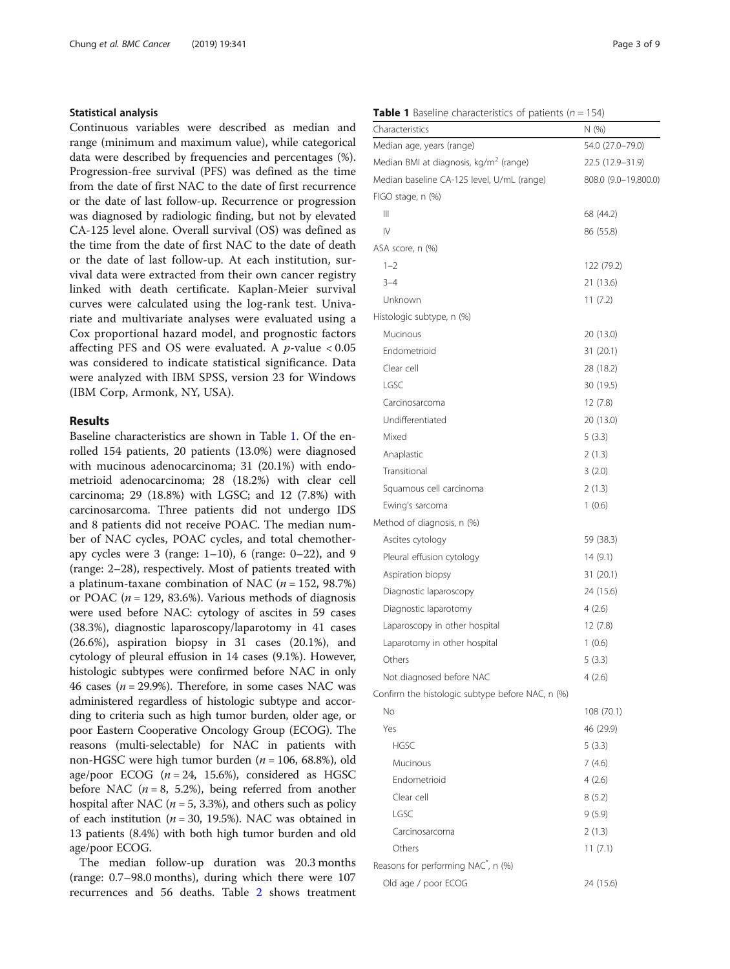#### Statistical analysis

Continuous variables were described as median and range (minimum and maximum value), while categorical data were described by frequencies and percentages (%). Progression-free survival (PFS) was defined as the time from the date of first NAC to the date of first recurrence or the date of last follow-up. Recurrence or progression was diagnosed by radiologic finding, but not by elevated CA-125 level alone. Overall survival (OS) was defined as the time from the date of first NAC to the date of death or the date of last follow-up. At each institution, survival data were extracted from their own cancer registry linked with death certificate. Kaplan-Meier survival curves were calculated using the log-rank test. Univariate and multivariate analyses were evaluated using a Cox proportional hazard model, and prognostic factors affecting PFS and OS were evaluated. A  $p$ -value  $< 0.05$ was considered to indicate statistical significance. Data were analyzed with IBM SPSS, version 23 for Windows (IBM Corp, Armonk, NY, USA).

#### Results

Baseline characteristics are shown in Table 1. Of the enrolled 154 patients, 20 patients (13.0%) were diagnosed with mucinous adenocarcinoma; 31 (20.1%) with endometrioid adenocarcinoma; 28 (18.2%) with clear cell carcinoma; 29 (18.8%) with LGSC; and 12 (7.8%) with carcinosarcoma. Three patients did not undergo IDS and 8 patients did not receive POAC. The median number of NAC cycles, POAC cycles, and total chemotherapy cycles were  $3$  (range: 1–10), 6 (range: 0–22), and 9 (range: 2–28), respectively. Most of patients treated with a platinum-taxane combination of NAC ( $n = 152$ , 98.7%) or POAC ( $n = 129, 83.6\%$ ). Various methods of diagnosis were used before NAC: cytology of ascites in 59 cases (38.3%), diagnostic laparoscopy/laparotomy in 41 cases (26.6%), aspiration biopsy in 31 cases (20.1%), and cytology of pleural effusion in 14 cases (9.1%). However, histologic subtypes were confirmed before NAC in only 46 cases ( $n = 29.9\%$ ). Therefore, in some cases NAC was administered regardless of histologic subtype and according to criteria such as high tumor burden, older age, or poor Eastern Cooperative Oncology Group (ECOG). The reasons (multi-selectable) for NAC in patients with non-HGSC were high tumor burden ( $n = 106$ , 68.8%), old age/poor ECOG ( $n = 24$ , 15.6%), considered as HGSC before NAC ( $n = 8$ , 5.2%), being referred from another hospital after NAC ( $n = 5$ , 3.3%), and others such as policy of each institution ( $n = 30$ , 19.5%). NAC was obtained in 13 patients (8.4%) with both high tumor burden and old age/poor ECOG.

The median follow-up duration was 20.3 months (range: 0.7–98.0 months), during which there were 107 recurrences and 56 deaths. Table [2](#page-3-0) shows treatment

#### **Table 1** Baseline characteristics of patients ( $n = 154$ )

| Characteristics                                    | N(%)                 |
|----------------------------------------------------|----------------------|
| Median age, years (range)                          | 54.0 (27.0–79.0)     |
| Median BMI at diagnosis, kg/m <sup>2</sup> (range) | 22.5 (12.9–31.9)     |
| Median baseline CA-125 level, U/mL (range)         | 808.0 (9.0-19,800.0) |
| FIGO stage, n (%)                                  |                      |
| Ш                                                  | 68 (44.2)            |
| IV                                                 | 86 (55.8)            |
| ASA score, n (%)                                   |                      |
| $1 - 2$                                            | 122 (79.2)           |
| $3 - 4$                                            | 21 (13.6)            |
| Unknown                                            | 11(7.2)              |
| Histologic subtype, n (%)                          |                      |
| Mucinous                                           | 20 (13.0)            |
| Endometrioid                                       | 31(20.1)             |
| Clear cell                                         | 28 (18.2)            |
| LGSC                                               | 30 (19.5)            |
| Carcinosarcoma                                     | 12(7.8)              |
| Undifferentiated                                   | 20 (13.0)            |
| Mixed                                              | 5(3.3)               |
| Anaplastic                                         | 2(1.3)               |
| Transitional                                       | 3(2.0)               |
| Squamous cell carcinoma                            | 2(1.3)               |
| Ewing's sarcoma                                    | 1(0.6)               |
| Method of diagnosis, n (%)                         |                      |
| Ascites cytology                                   | 59 (38.3)            |
| Pleural effusion cytology                          | 14(9.1)              |
| Aspiration biopsy                                  | 31(20.1)             |
| Diagnostic laparoscopy                             | 24 (15.6)            |
| Diagnostic laparotomy                              | 4(2.6)               |
| Laparoscopy in other hospital                      | 12(7.8)              |
| Laparotomy in other hospital                       | 1(0.6)               |
| Others                                             | 5(3.3)               |
| Not diagnosed before NAC                           | 4(2.6)               |
| Confirm the histologic subtype before NAC, n (%)   |                      |
| No                                                 | 108 (70.1)           |
| Yes                                                | 46 (29.9)            |
| <b>HGSC</b>                                        | 5(3.3)               |
| Mucinous                                           | 7(4.6)               |
| Endometrioid                                       | 4(2.6)               |
| Clear cell                                         | 8(5.2)               |
| LGSC                                               | 9(5.9)               |
| Carcinosarcoma                                     | 2(1.3)               |
| Others                                             | 11(7.1)              |
| Reasons for performing NAC <sup>*</sup> , n (%)    |                      |
| Old age / poor ECOG                                | 24 (15.6)            |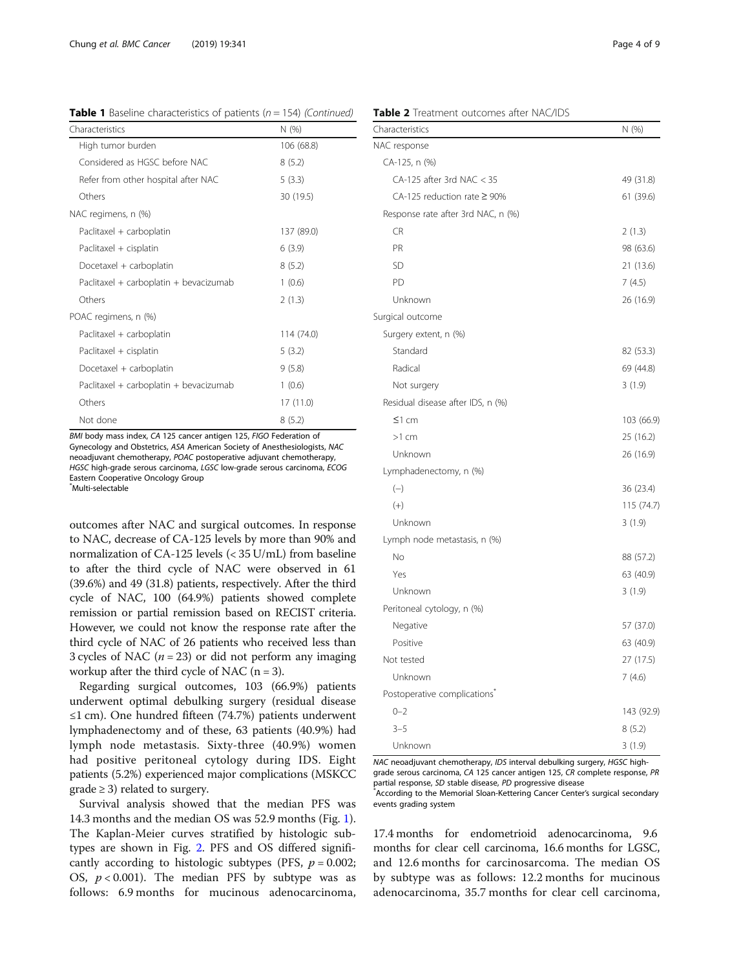<span id="page-3-0"></span>**Table 1** Baseline characteristics of patients ( $n = 154$ ) (Continued)

| Characteristics                        | N (%)      |  |
|----------------------------------------|------------|--|
| High tumor burden                      | 106 (68.8) |  |
| Considered as HGSC before NAC          | 8(5.2)     |  |
| Refer from other hospital after NAC    | 5(3.3)     |  |
| Others                                 | 30 (19.5)  |  |
| NAC regimens, n (%)                    |            |  |
| Paclitaxel + carboplatin               | 137 (89.0) |  |
| Paclitaxel + cisplatin                 | 6(3.9)     |  |
| Docetaxel + carboplatin                | 8(5.2)     |  |
| Paclitaxel + carboplatin + bevacizumab | 1(0.6)     |  |
| Others                                 | 2(1.3)     |  |
| POAC regimens, n (%)                   |            |  |
| Paclitaxel + carboplatin               | 114 (74.0) |  |
| Paclitaxel + cisplatin                 | 5(3.2)     |  |
| Docetaxel + carboplatin                | 9(5.8)     |  |
| Paclitaxel + carboplatin + bevacizumab | 1(0.6)     |  |
| Others                                 | 17 (11.0)  |  |
| Not done                               | 8(5.2)     |  |

BMI body mass index, CA 125 cancer antigen 125, FIGO Federation of Gynecology and Obstetrics, ASA American Society of Anesthesiologists, NAC neoadjuvant chemotherapy, POAC postoperative adjuvant chemotherapy, HGSC high-grade serous carcinoma, LGSC low-grade serous carcinoma, ECOG Eastern Cooperative Oncology Group

\* Multi-selectable

outcomes after NAC and surgical outcomes. In response to NAC, decrease of CA-125 levels by more than 90% and normalization of CA-125 levels (< 35 U/mL) from baseline to after the third cycle of NAC were observed in 61 (39.6%) and 49 (31.8) patients, respectively. After the third cycle of NAC, 100 (64.9%) patients showed complete remission or partial remission based on RECIST criteria. However, we could not know the response rate after the third cycle of NAC of 26 patients who received less than 3 cycles of NAC ( $n = 23$ ) or did not perform any imaging workup after the third cycle of NAC  $(n = 3)$ .

Regarding surgical outcomes, 103 (66.9%) patients underwent optimal debulking surgery (residual disease ≤1 cm). One hundred fifteen (74.7%) patients underwent lymphadenectomy and of these, 63 patients (40.9%) had lymph node metastasis. Sixty-three (40.9%) women had positive peritoneal cytology during IDS. Eight patients (5.2%) experienced major complications (MSKCC  $grade \geq 3$ ) related to surgery.

Survival analysis showed that the median PFS was 14.3 months and the median OS was 52.9 months (Fig. [1](#page-4-0)). The Kaplan-Meier curves stratified by histologic subtypes are shown in Fig. [2.](#page-4-0) PFS and OS differed significantly according to histologic subtypes (PFS,  $p = 0.002$ ; OS,  $p < 0.001$ ). The median PFS by subtype was as follows: 6.9 months for mucinous adenocarcinoma,

| Table 2 Treatment outcomes after NAC/IDS |  |
|------------------------------------------|--|
|------------------------------------------|--|

| Characteristics                          | N (%)      |
|------------------------------------------|------------|
| NAC response                             |            |
| CA-125, n (%)                            |            |
| $CA-125$ after 3rd NAC < 35              | 49 (31.8)  |
| CA-125 reduction rate ≥ 90%              | 61 (39.6)  |
| Response rate after 3rd NAC, n (%)       |            |
| <b>CR</b>                                | 2(1.3)     |
| PR                                       | 98 (63.6)  |
| SD                                       | 21 (13.6)  |
| PD                                       | 7(4.5)     |
| Unknown                                  | 26 (16.9)  |
| Surgical outcome                         |            |
| Surgery extent, n (%)                    |            |
| Standard                                 | 82 (53.3)  |
| Radical                                  | 69 (44.8)  |
| Not surgery                              | 3(1.9)     |
| Residual disease after IDS, n (%)        |            |
| $\leq$ 1 cm                              | 103 (66.9) |
| $>1$ cm                                  | 25 (16.2)  |
| Unknown                                  | 26 (16.9)  |
| Lymphadenectomy, n (%)                   |            |
| $(-)$                                    | 36 (23.4)  |
| $(+)$                                    | 115 (74.7) |
| Unknown                                  | 3(1.9)     |
| Lymph node metastasis, n (%)             |            |
| No                                       | 88 (57.2)  |
| Yes                                      | 63 (40.9)  |
| Unknown                                  | 3(1.9)     |
| Peritoneal cytology, n (%)               |            |
| Negative                                 | 57 (37.0)  |
| Positive                                 | 63 (40.9)  |
| Not tested                               | 27 (17.5)  |
| Unknown                                  | 7(4.6)     |
| Postoperative complications <sup>®</sup> |            |
| $0 - 2$                                  | 143 (92.9) |
| $3 - 5$                                  | 8(5.2)     |
| Unknown                                  | 3(1.9)     |

NAC neoadjuvant chemotherapy, IDS interval debulking surgery, HGSC highgrade serous carcinoma, CA 125 cancer antigen 125, CR complete response, PR partial response, SD stable disease, PD progressive disease \*

According to the Memorial Sloan-Kettering Cancer Center's surgical secondary events grading system

17.4 months for endometrioid adenocarcinoma, 9.6 months for clear cell carcinoma, 16.6 months for LGSC, and 12.6 months for carcinosarcoma. The median OS by subtype was as follows: 12.2 months for mucinous adenocarcinoma, 35.7 months for clear cell carcinoma,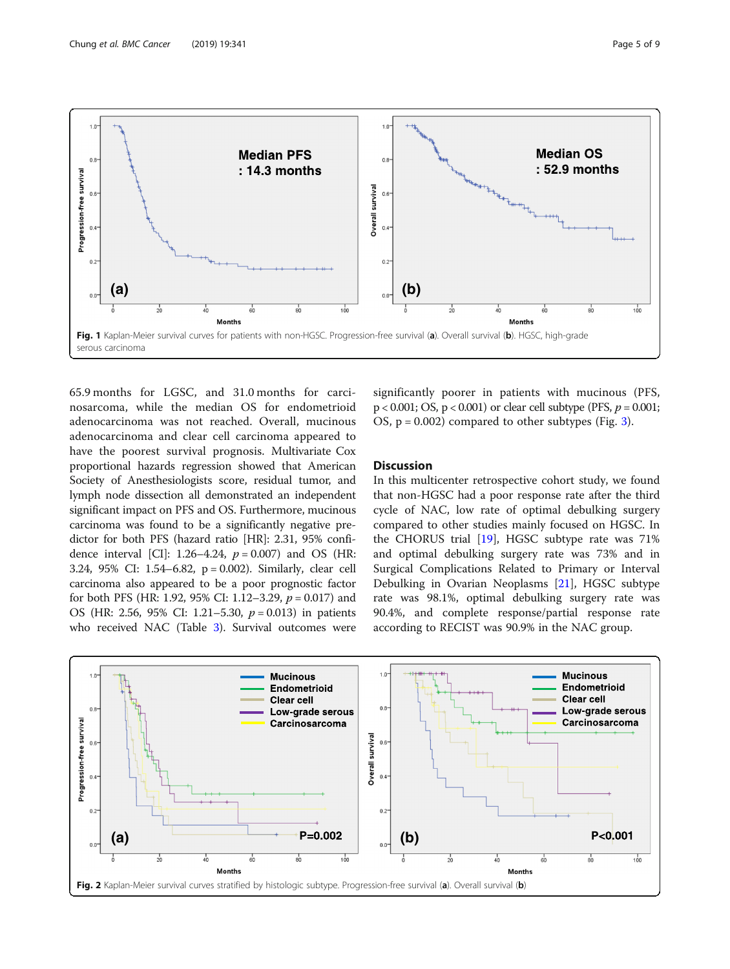<span id="page-4-0"></span>

65.9 months for LGSC, and 31.0 months for carcinosarcoma, while the median OS for endometrioid adenocarcinoma was not reached. Overall, mucinous adenocarcinoma and clear cell carcinoma appeared to have the poorest survival prognosis. Multivariate Cox proportional hazards regression showed that American Society of Anesthesiologists score, residual tumor, and lymph node dissection all demonstrated an independent significant impact on PFS and OS. Furthermore, mucinous carcinoma was found to be a significantly negative predictor for both PFS (hazard ratio [HR]: 2.31, 95% confidence interval [CI]: 1.26–4.24,  $p = 0.007$ ) and OS (HR: 3.24, 95% CI: 1.54–6.82, p = 0.002). Similarly, clear cell carcinoma also appeared to be a poor prognostic factor for both PFS (HR: 1.92, 95% CI: 1.12–3.29,  $p = 0.017$ ) and OS (HR: 2.56, 95% CI: 1.21–5.30,  $p = 0.013$ ) in patients who received NAC (Table [3\)](#page-5-0). Survival outcomes were

significantly poorer in patients with mucinous (PFS,  $p < 0.001$ ; OS,  $p < 0.001$ ) or clear cell subtype (PFS,  $p = 0.001$ ; OS,  $p = 0.002$ ) compared to other subtypes (Fig. [3\)](#page-6-0).

#### **Discussion**

In this multicenter retrospective cohort study, we found that non-HGSC had a poor response rate after the third cycle of NAC, low rate of optimal debulking surgery compared to other studies mainly focused on HGSC. In the CHORUS trial [\[19](#page-8-0)], HGSC subtype rate was 71% and optimal debulking surgery rate was 73% and in Surgical Complications Related to Primary or Interval Debulking in Ovarian Neoplasms [[21](#page-8-0)], HGSC subtype rate was 98.1%, optimal debulking surgery rate was 90.4%, and complete response/partial response rate according to RECIST was 90.9% in the NAC group.

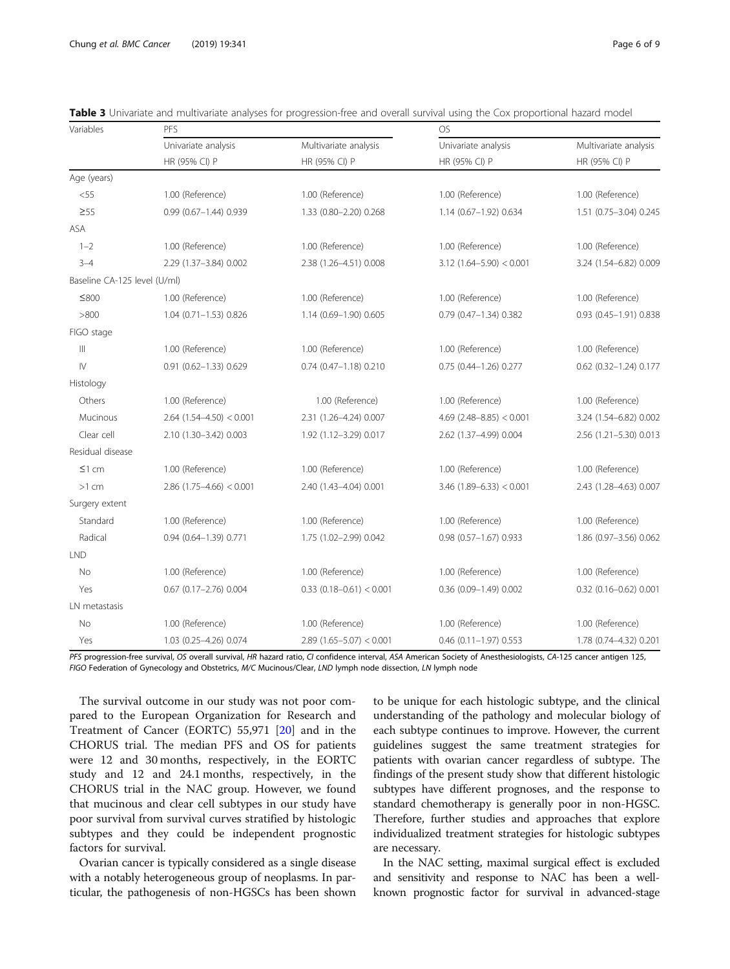| Page 6 o |  |
|----------|--|
|          |  |

| Variables                    | PFS                        |                            | <b>OS</b>                  |                          |
|------------------------------|----------------------------|----------------------------|----------------------------|--------------------------|
|                              | Univariate analysis        | Multivariate analysis      | Univariate analysis        | Multivariate analysis    |
|                              | HR (95% CI) P              | HR (95% CI) P              | HR (95% CI) P              | HR (95% CI) P            |
| Age (years)                  |                            |                            |                            |                          |
| $<$ 55                       | 1.00 (Reference)           | 1.00 (Reference)           | 1.00 (Reference)           | 1.00 (Reference)         |
| $\geq 55$                    | 0.99 (0.67-1.44) 0.939     | 1.33 (0.80-2.20) 0.268     | 1.14 (0.67-1.92) 0.634     | 1.51 (0.75-3.04) 0.245   |
| ASA                          |                            |                            |                            |                          |
| $1 - 2$                      | 1.00 (Reference)           | 1.00 (Reference)           | 1.00 (Reference)           | 1.00 (Reference)         |
| $3 - 4$                      | 2.29 (1.37-3.84) 0.002     | 2.38 (1.26-4.51) 0.008     | $3.12$ (1.64-5.90) < 0.001 | 3.24 (1.54-6.82) 0.009   |
| Baseline CA-125 level (U/ml) |                            |                            |                            |                          |
| $≤800$                       | 1.00 (Reference)           | 1.00 (Reference)           | 1.00 (Reference)           | 1.00 (Reference)         |
| >800                         | $1.04$ (0.71-1.53) 0.826   | 1.14 (0.69-1.90) 0.605     | 0.79 (0.47-1.34) 0.382     | 0.93 (0.45-1.91) 0.838   |
| FIGO stage                   |                            |                            |                            |                          |
| Ш                            | 1.00 (Reference)           | 1.00 (Reference)           | 1.00 (Reference)           | 1.00 (Reference)         |
| $\mathsf{IV}$                | $0.91$ (0.62-1.33) 0.629   | $0.74$ (0.47-1.18) 0.210   | 0.75 (0.44-1.26) 0.277     | 0.62 (0.32-1.24) 0.177   |
| Histology                    |                            |                            |                            |                          |
| Others                       | 1.00 (Reference)           | 1.00 (Reference)           | 1.00 (Reference)           | 1.00 (Reference)         |
| Mucinous                     | $2.64$ (1.54-4.50) < 0.001 | 2.31 (1.26-4.24) 0.007     | $4.69$ (2.48-8.85) < 0.001 | 3.24 (1.54-6.82) 0.002   |
| Clear cell                   | 2.10 (1.30-3.42) 0.003     | 1.92 (1.12-3.29) 0.017     | 2.62 (1.37-4.99) 0.004     | 2.56 (1.21-5.30) 0.013   |
| Residual disease             |                            |                            |                            |                          |
| $\leq$ 1 cm                  | 1.00 (Reference)           | 1.00 (Reference)           | 1.00 (Reference)           | 1.00 (Reference)         |
| $>1$ cm                      | $2.86$ (1.75-4.66) < 0.001 | 2.40 (1.43-4.04) 0.001     | $3.46$ (1.89-6.33) < 0.001 | 2.43 (1.28-4.63) 0.007   |
| Surgery extent               |                            |                            |                            |                          |
| Standard                     | 1.00 (Reference)           | 1.00 (Reference)           | 1.00 (Reference)           | 1.00 (Reference)         |
| Radical                      | 0.94 (0.64-1.39) 0.771     | 1.75 (1.02-2.99) 0.042     | $0.98$ (0.57-1.67) 0.933   | 1.86 (0.97-3.56) 0.062   |
| <b>LND</b>                   |                            |                            |                            |                          |
| No                           | 1.00 (Reference)           | 1.00 (Reference)           | 1.00 (Reference)           | 1.00 (Reference)         |
| Yes                          | $0.67$ (0.17-2.76) 0.004   | $0.33$ (0.18-0.61) < 0.001 | $0.36(0.09 - 1.49)0.002$   | $0.32$ (0.16-0.62) 0.001 |
| LN metastasis                |                            |                            |                            |                          |
| No                           | 1.00 (Reference)           | 1.00 (Reference)           | 1.00 (Reference)           | 1.00 (Reference)         |
| Yes                          | 1.03 (0.25-4.26) 0.074     | $2.89$ (1.65-5.07) < 0.001 | $0.46$ (0.11-1.97) 0.553   | 1.78 (0.74-4.32) 0.201   |

<span id="page-5-0"></span>

PFS progression-free survival, OS overall survival, HR hazard ratio, CI confidence interval, ASA American Society of Anesthesiologists, CA-125 cancer antigen 125, FIGO Federation of Gynecology and Obstetrics, M/C Mucinous/Clear, LND lymph node dissection, LN lymph node

The survival outcome in our study was not poor compared to the European Organization for Research and Treatment of Cancer (EORTC) 55,971 [\[20\]](#page-8-0) and in the CHORUS trial. The median PFS and OS for patients were 12 and 30 months, respectively, in the EORTC study and 12 and 24.1 months, respectively, in the CHORUS trial in the NAC group. However, we found that mucinous and clear cell subtypes in our study have poor survival from survival curves stratified by histologic subtypes and they could be independent prognostic factors for survival.

Ovarian cancer is typically considered as a single disease with a notably heterogeneous group of neoplasms. In particular, the pathogenesis of non-HGSCs has been shown to be unique for each histologic subtype, and the clinical understanding of the pathology and molecular biology of each subtype continues to improve. However, the current guidelines suggest the same treatment strategies for patients with ovarian cancer regardless of subtype. The findings of the present study show that different histologic subtypes have different prognoses, and the response to standard chemotherapy is generally poor in non-HGSC. Therefore, further studies and approaches that explore individualized treatment strategies for histologic subtypes are necessary.

In the NAC setting, maximal surgical effect is excluded and sensitivity and response to NAC has been a wellknown prognostic factor for survival in advanced-stage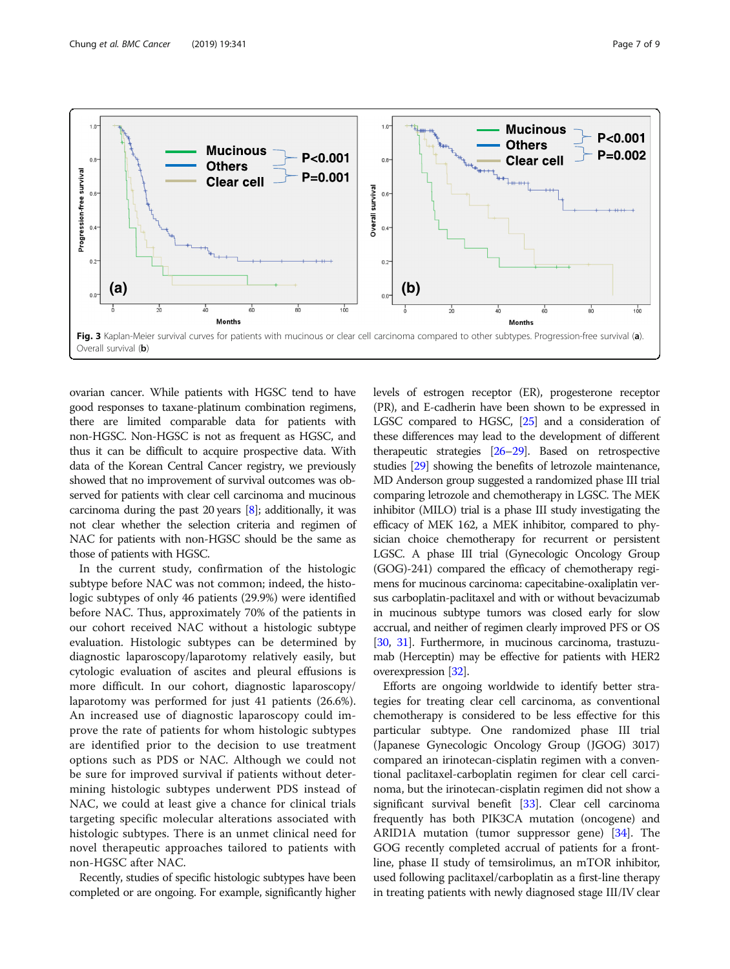<span id="page-6-0"></span>

ovarian cancer. While patients with HGSC tend to have good responses to taxane-platinum combination regimens, there are limited comparable data for patients with non-HGSC. Non-HGSC is not as frequent as HGSC, and thus it can be difficult to acquire prospective data. With data of the Korean Central Cancer registry, we previously showed that no improvement of survival outcomes was observed for patients with clear cell carcinoma and mucinous carcinoma during the past 20 years [\[8\]](#page-8-0); additionally, it was not clear whether the selection criteria and regimen of NAC for patients with non-HGSC should be the same as those of patients with HGSC.

In the current study, confirmation of the histologic subtype before NAC was not common; indeed, the histologic subtypes of only 46 patients (29.9%) were identified before NAC. Thus, approximately 70% of the patients in our cohort received NAC without a histologic subtype evaluation. Histologic subtypes can be determined by diagnostic laparoscopy/laparotomy relatively easily, but cytologic evaluation of ascites and pleural effusions is more difficult. In our cohort, diagnostic laparoscopy/ laparotomy was performed for just 41 patients (26.6%). An increased use of diagnostic laparoscopy could improve the rate of patients for whom histologic subtypes are identified prior to the decision to use treatment options such as PDS or NAC. Although we could not be sure for improved survival if patients without determining histologic subtypes underwent PDS instead of NAC, we could at least give a chance for clinical trials targeting specific molecular alterations associated with histologic subtypes. There is an unmet clinical need for novel therapeutic approaches tailored to patients with non-HGSC after NAC.

Recently, studies of specific histologic subtypes have been completed or are ongoing. For example, significantly higher levels of estrogen receptor (ER), progesterone receptor (PR), and E-cadherin have been shown to be expressed in LGSC compared to HGSC, [[25](#page-8-0)] and a consideration of these differences may lead to the development of different therapeutic strategies [\[26](#page-8-0)–[29\]](#page-8-0). Based on retrospective studies [\[29](#page-8-0)] showing the benefits of letrozole maintenance, MD Anderson group suggested a randomized phase III trial comparing letrozole and chemotherapy in LGSC. The MEK inhibitor (MILO) trial is a phase III study investigating the efficacy of MEK 162, a MEK inhibitor, compared to physician choice chemotherapy for recurrent or persistent LGSC. A phase III trial (Gynecologic Oncology Group (GOG)-241) compared the efficacy of chemotherapy regimens for mucinous carcinoma: capecitabine-oxaliplatin versus carboplatin-paclitaxel and with or without bevacizumab in mucinous subtype tumors was closed early for slow accrual, and neither of regimen clearly improved PFS or OS [[30](#page-8-0), [31](#page-8-0)]. Furthermore, in mucinous carcinoma, trastuzumab (Herceptin) may be effective for patients with HER2 overexpression [[32\]](#page-8-0).

Efforts are ongoing worldwide to identify better strategies for treating clear cell carcinoma, as conventional chemotherapy is considered to be less effective for this particular subtype. One randomized phase III trial (Japanese Gynecologic Oncology Group (JGOG) 3017) compared an irinotecan-cisplatin regimen with a conventional paclitaxel-carboplatin regimen for clear cell carcinoma, but the irinotecan-cisplatin regimen did not show a significant survival benefit [\[33\]](#page-8-0). Clear cell carcinoma frequently has both PIK3CA mutation (oncogene) and ARID1A mutation (tumor suppressor gene) [[34](#page-8-0)]. The GOG recently completed accrual of patients for a frontline, phase II study of temsirolimus, an mTOR inhibitor, used following paclitaxel/carboplatin as a first-line therapy in treating patients with newly diagnosed stage III/IV clear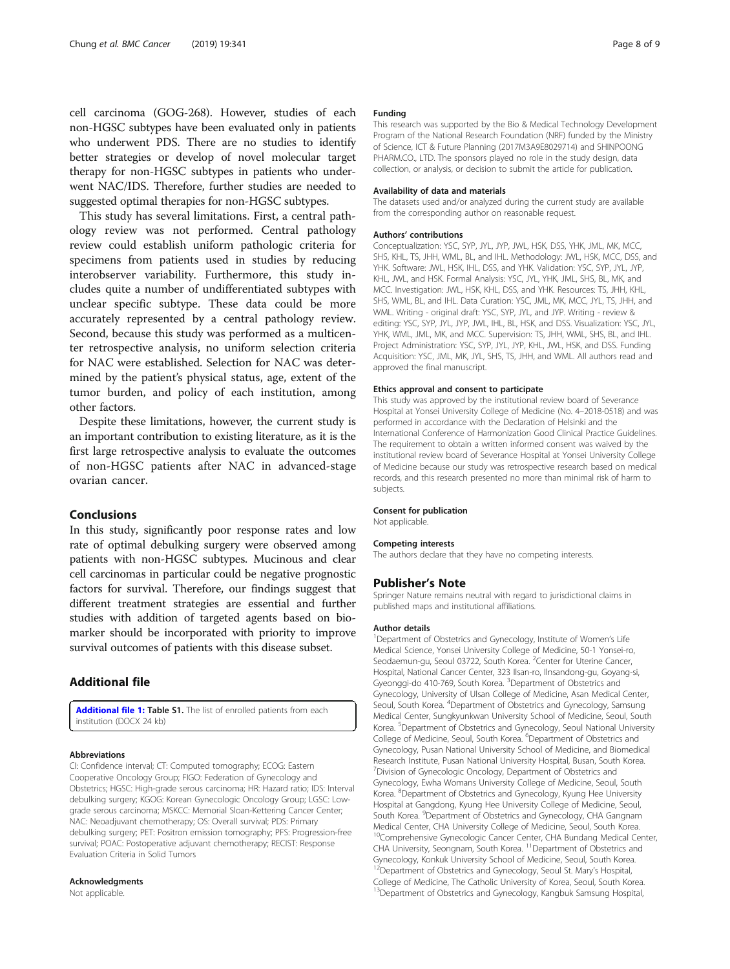<span id="page-7-0"></span>cell carcinoma (GOG-268). However, studies of each non-HGSC subtypes have been evaluated only in patients who underwent PDS. There are no studies to identify better strategies or develop of novel molecular target therapy for non-HGSC subtypes in patients who underwent NAC/IDS. Therefore, further studies are needed to suggested optimal therapies for non-HGSC subtypes.

This study has several limitations. First, a central pathology review was not performed. Central pathology review could establish uniform pathologic criteria for specimens from patients used in studies by reducing interobserver variability. Furthermore, this study includes quite a number of undifferentiated subtypes with unclear specific subtype. These data could be more accurately represented by a central pathology review. Second, because this study was performed as a multicenter retrospective analysis, no uniform selection criteria for NAC were established. Selection for NAC was determined by the patient's physical status, age, extent of the tumor burden, and policy of each institution, among other factors.

Despite these limitations, however, the current study is an important contribution to existing literature, as it is the first large retrospective analysis to evaluate the outcomes of non-HGSC patients after NAC in advanced-stage ovarian cancer.

#### Conclusions

In this study, significantly poor response rates and low rate of optimal debulking surgery were observed among patients with non-HGSC subtypes. Mucinous and clear cell carcinomas in particular could be negative prognostic factors for survival. Therefore, our findings suggest that different treatment strategies are essential and further studies with addition of targeted agents based on biomarker should be incorporated with priority to improve survival outcomes of patients with this disease subset.

#### Additional file

[Additional file 1:](https://doi.org/10.1186/s12885-019-5514-7) Table S1. The list of enrolled patients from each institution (DOCX 24 kb)

#### Abbreviations

CI: Confidence interval; CT: Computed tomography; ECOG: Eastern Cooperative Oncology Group; FIGO: Federation of Gynecology and Obstetrics; HGSC: High-grade serous carcinoma; HR: Hazard ratio; IDS: Interval debulking surgery; KGOG: Korean Gynecologic Oncology Group; LGSC: Lowgrade serous carcinoma; MSKCC: Memorial Sloan-Kettering Cancer Center; NAC: Neoadjuvant chemotherapy; OS: Overall survival; PDS: Primary debulking surgery; PET: Positron emission tomography; PFS: Progression-free survival; POAC: Postoperative adjuvant chemotherapy; RECIST: Response Evaluation Criteria in Solid Tumors

#### Acknowledgments

Not applicable.

#### Funding

This research was supported by the Bio & Medical Technology Development Program of the National Research Foundation (NRF) funded by the Ministry of Science, ICT & Future Planning (2017M3A9E8029714) and SHINPOONG PHARM.CO., LTD. The sponsors played no role in the study design, data collection, or analysis, or decision to submit the article for publication.

#### Availability of data and materials

The datasets used and/or analyzed during the current study are available from the corresponding author on reasonable request.

#### Authors' contributions

Conceptualization: YSC, SYP, JYL, JYP, JWL, HSK, DSS, YHK, JML, MK, MCC, SHS, KHL, TS, JHH, WML, BL, and IHL. Methodology: JWL, HSK, MCC, DSS, and YHK. Software: JWL, HSK, IHL, DSS, and YHK. Validation: YSC, SYP, JYL, JYP, KHL, JWL, and HSK. Formal Analysis: YSC, JYL, YHK, JML, SHS, BL, MK, and MCC. Investigation: JWL, HSK, KHL, DSS, and YHK. Resources: TS, JHH, KHL, SHS, WML, BL, and IHL. Data Curation: YSC, JML, MK, MCC, JYL, TS, JHH, and WML. Writing - original draft: YSC, SYP, JYL, and JYP. Writing - review & editing: YSC, SYP, JYL, JYP, JWL, IHL, BL, HSK, and DSS. Visualization: YSC, JYL, YHK, WML, JML, MK, and MCC. Supervision: TS, JHH, WML, SHS, BL, and IHL. Project Administration: YSC, SYP, JYL, JYP, KHL, JWL, HSK, and DSS. Funding Acquisition: YSC, JML, MK, JYL, SHS, TS, JHH, and WML. All authors read and approved the final manuscript.

#### Ethics approval and consent to participate

This study was approved by the institutional review board of Severance Hospital at Yonsei University College of Medicine (No. 4–2018-0518) and was performed in accordance with the Declaration of Helsinki and the International Conference of Harmonization Good Clinical Practice Guidelines. The requirement to obtain a written informed consent was waived by the institutional review board of Severance Hospital at Yonsei University College of Medicine because our study was retrospective research based on medical records, and this research presented no more than minimal risk of harm to subjects.

#### Consent for publication

Not applicable.

#### Competing interests

The authors declare that they have no competing interests.

#### Publisher's Note

Springer Nature remains neutral with regard to jurisdictional claims in published maps and institutional affiliations.

#### Author details

<sup>1</sup>Department of Obstetrics and Gynecology, Institute of Women's Life Medical Science, Yonsei University College of Medicine, 50-1 Yonsei-ro, Seodaemun-gu, Seoul 03722, South Korea. <sup>2</sup> Center for Uterine Cancer Hospital, National Cancer Center, 323 Ilsan-ro, Ilnsandong-gu, Goyang-si, Gyeonggi-do 410-769, South Korea. <sup>3</sup>Department of Obstetrics and Gynecology, University of Ulsan College of Medicine, Asan Medical Center, Seoul, South Korea. <sup>4</sup>Department of Obstetrics and Gynecology, Samsung Medical Center, Sungkyunkwan University School of Medicine, Seoul, South Korea. <sup>5</sup>Department of Obstetrics and Gynecology, Seoul National University College of Medicine, Seoul, South Korea. <sup>6</sup>Department of Obstetrics and Gynecology, Pusan National University School of Medicine, and Biomedical Research Institute, Pusan National University Hospital, Busan, South Korea. 7 Division of Gynecologic Oncology, Department of Obstetrics and Gynecology, Ewha Womans University College of Medicine, Seoul, South Korea. <sup>8</sup> Department of Obstetrics and Gynecology, Kyung Hee University Hospital at Gangdong, Kyung Hee University College of Medicine, Seoul, South Korea. <sup>9</sup>Department of Obstetrics and Gynecology, CHA Gangnam Medical Center, CHA University College of Medicine, Seoul, South Korea. <sup>10</sup>Comprehensive Gynecologic Cancer Center, CHA Bundang Medical Center, CHA University, Seongnam, South Korea. 11Department of Obstetrics and Gynecology, Konkuk University School of Medicine, Seoul, South Korea.<br><sup>12</sup>Department of Obstetrics and Gynecology, Seoul St. Mary's Hospital, College of Medicine, The Catholic University of Korea, Seoul, South Korea. <sup>13</sup>Department of Obstetrics and Gynecology, Kangbuk Samsung Hospital,